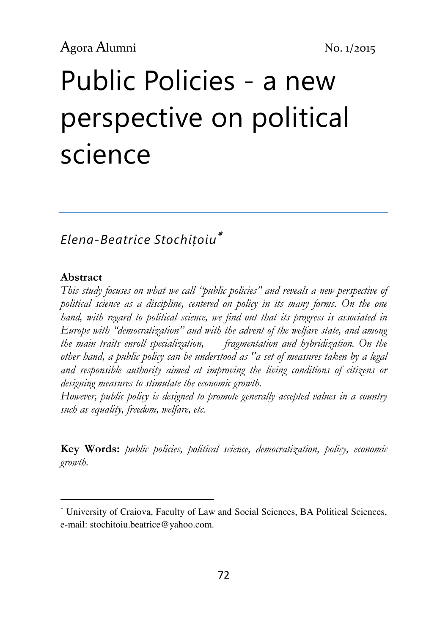# Public Policies - a new perspective on political science

## Elena-Beatrice Stochițoiu<sup>∗</sup>

#### Abstract

l

This study focuses on what we call "public policies" and reveals a new perspective of political science as a discipline, centered on policy in its many forms. On the one hand, with regard to political science, we find out that its progress is associated in Europe with "democratization" and with the advent of the welfare state, and among the main traits enroll specialization, fragmentation and hybridization. On the other hand, a public policy can be understood as "a set of measures taken by a legal and responsible authority aimed at improving the living conditions of citizens or designing measures to stimulate the economic growth.

However, public policy is designed to promote generally accepted values in a country such as equality, freedom, welfare, etc.

Key Words: public policies, political science, democratization, policy, economic growth.

<sup>∗</sup> University of Craiova, Faculty of Law and Social Sciences, BA Political Sciences, e-mail: stochitoiu.beatrice@yahoo.com.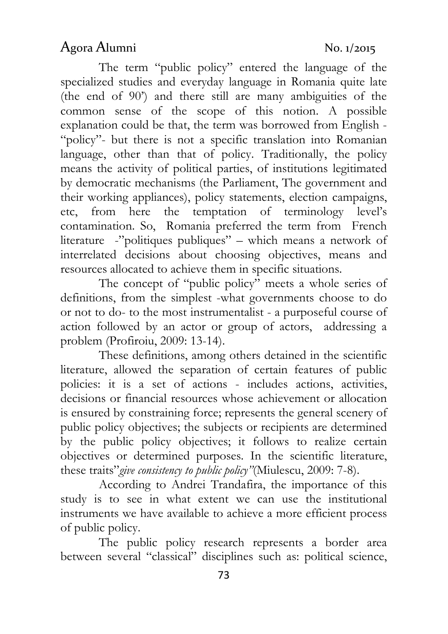## Agora Alumni No. 1/2015

The term "public policy" entered the language of the specialized studies and everyday language in Romania quite late (the end of 90') and there still are many ambiguities of the common sense of the scope of this notion. A possible explanation could be that, the term was borrowed from English - "policy"- but there is not a specific translation into Romanian language, other than that of policy. Traditionally, the policy means the activity of political parties, of institutions legitimated by democratic mechanisms (the Parliament, The government and their working appliances), policy statements, election campaigns, etc, from here the temptation of terminology level's contamination. So, Romania preferred the term from French literature -"politiques publiques" – which means a network of interrelated decisions about choosing objectives, means and resources allocated to achieve them in specific situations.

The concept of "public policy" meets a whole series of definitions, from the simplest -what governments choose to do or not to do- to the most instrumentalist - a purposeful course of action followed by an actor or group of actors, addressing a problem (Profiroiu, 2009: 13-14).

These definitions, among others detained in the scientific literature, allowed the separation of certain features of public policies: it is a set of actions - includes actions, activities, decisions or financial resources whose achievement or allocation is ensured by constraining force; represents the general scenery of public policy objectives; the subjects or recipients are determined by the public policy objectives; it follows to realize certain objectives or determined purposes. In the scientific literature, these traits" give consistency to public policy" (Miulescu, 2009: 7-8).

According to Andrei Trandafira, the importance of this study is to see in what extent we can use the institutional instruments we have available to achieve a more efficient process of public policy.

The public policy research represents a border area between several "classical" disciplines such as: political science,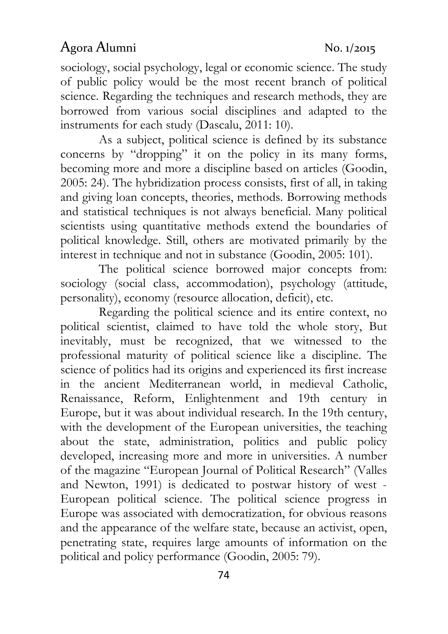### Agora Alumni No. 1/2015

sociology, social psychology, legal or economic science. The study of public policy would be the most recent branch of political science. Regarding the techniques and research methods, they are borrowed from various social disciplines and adapted to the instruments for each study (Dascalu, 2011: 10).

As a subject, political science is defined by its substance concerns by "dropping" it on the policy in its many forms, becoming more and more a discipline based on articles (Goodin, 2005: 24). The hybridization process consists, first of all, in taking and giving loan concepts, theories, methods. Borrowing methods and statistical techniques is not always beneficial. Many political scientists using quantitative methods extend the boundaries of political knowledge. Still, others are motivated primarily by the interest in technique and not in substance (Goodin, 2005: 101).

The political science borrowed major concepts from: sociology (social class, accommodation), psychology (attitude, personality), economy (resource allocation, deficit), etc.

Regarding the political science and its entire context, no political scientist, claimed to have told the whole story, But inevitably, must be recognized, that we witnessed to the professional maturity of political science like a discipline. The science of politics had its origins and experienced its first increase in the ancient Mediterranean world, in medieval Catholic, Renaissance, Reform, Enlightenment and 19th century in Europe, but it was about individual research. In the 19th century, with the development of the European universities, the teaching about the state, administration, politics and public policy developed, increasing more and more in universities. A number of the magazine "European Journal of Political Research" (Valles and Newton, 1991) is dedicated to postwar history of west - European political science. The political science progress in Europe was associated with democratization, for obvious reasons and the appearance of the welfare state, because an activist, open, penetrating state, requires large amounts of information on the political and policy performance (Goodin, 2005: 79).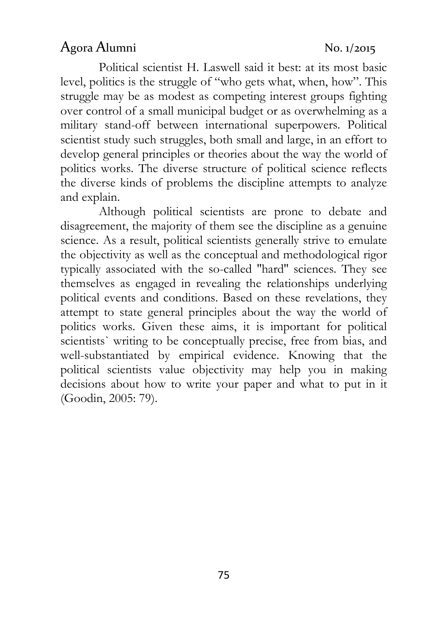#### Agora Alumni No. 1/2015

Political scientist H. Laswell said it best: at its most basic level, politics is the struggle of "who gets what, when, how". This struggle may be as modest as competing interest groups fighting over control of a small municipal budget or as overwhelming as a military stand-off between international superpowers. Political scientist study such struggles, both small and large, in an effort to develop general principles or theories about the way the world of politics works. The diverse structure of political science reflects the diverse kinds of problems the discipline attempts to analyze and explain.

Although political scientists are prone to debate and disagreement, the majority of them see the discipline as a genuine science. As a result, political scientists generally strive to emulate the objectivity as well as the conceptual and methodological rigor typically associated with the so-called ''hard'' sciences. They see themselves as engaged in revealing the relationships underlying political events and conditions. Based on these revelations, they attempt to state general principles about the way the world of politics works. Given these aims, it is important for political scientists` writing to be conceptually precise, free from bias, and well-substantiated by empirical evidence. Knowing that the political scientists value objectivity may help you in making decisions about how to write your paper and what to put in it (Goodin, 2005: 79).